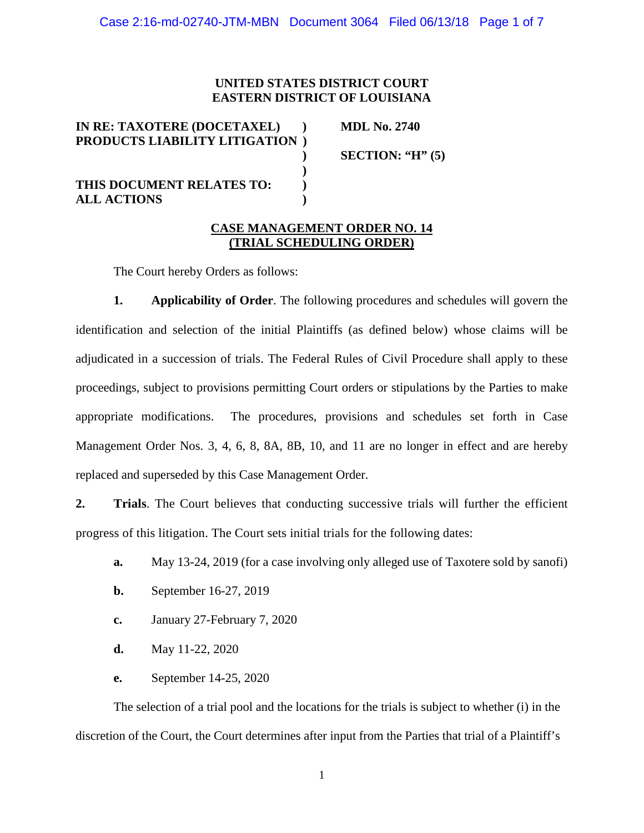# **UNITED STATES DISTRICT COURT EASTERN DISTRICT OF LOUISIANA**

| IN RE: TAXOTERE (DOCETAXEL)<br><b>PRODUCTS LIABILITY LITIGATION</b> | <b>MDL No. 2740</b>  |
|---------------------------------------------------------------------|----------------------|
|                                                                     | SECTION: " $H$ " (5) |
| THIS DOCUMENT RELATES TO:                                           |                      |
| <b>ALL ACTIONS</b>                                                  |                      |

#### **CASE MANAGEMENT ORDER NO. 14 (TRIAL SCHEDULING ORDER)**

The Court hereby Orders as follows:

**1. Applicability of Order**. The following procedures and schedules will govern the identification and selection of the initial Plaintiffs (as defined below) whose claims will be adjudicated in a succession of trials. The Federal Rules of Civil Procedure shall apply to these proceedings, subject to provisions permitting Court orders or stipulations by the Parties to make appropriate modifications. The procedures, provisions and schedules set forth in Case Management Order Nos. 3, 4, 6, 8, 8A, 8B, 10, and 11 are no longer in effect and are hereby replaced and superseded by this Case Management Order.

**2. Trials**. The Court believes that conducting successive trials will further the efficient progress of this litigation. The Court sets initial trials for the following dates:

- **a.** May 13-24, 2019 (for a case involving only alleged use of Taxotere sold by sanofi)
- **b.** September 16-27, 2019
- **c.** January 27-February 7, 2020
- **d.** May 11-22, 2020
- **e.** September 14-25, 2020

The selection of a trial pool and the locations for the trials is subject to whether (i) in the discretion of the Court, the Court determines after input from the Parties that trial of a Plaintiff's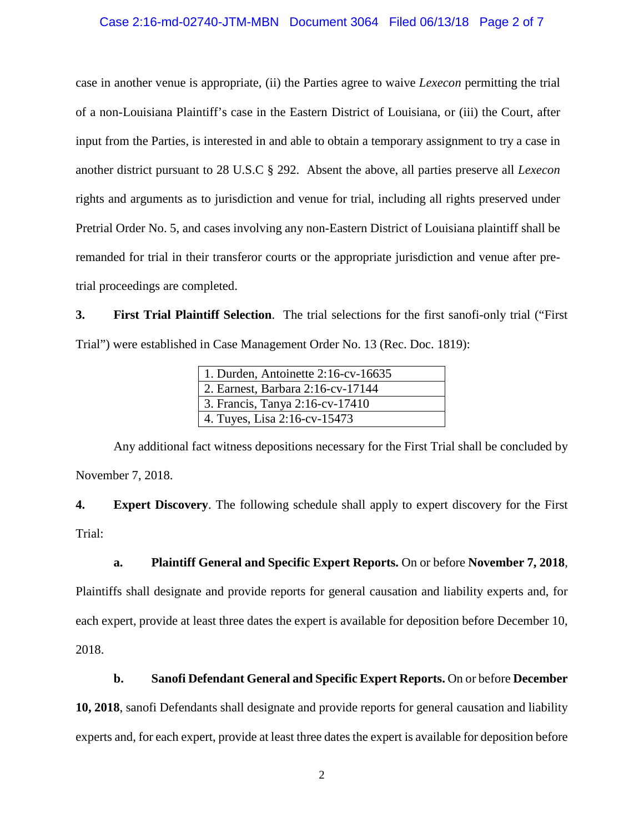# Case 2:16-md-02740-JTM-MBN Document 3064 Filed 06/13/18 Page 2 of 7

case in another venue is appropriate, (ii) the Parties agree to waive *Lexecon* permitting the trial of a non-Louisiana Plaintiff's case in the Eastern District of Louisiana, or (iii) the Court, after input from the Parties, is interested in and able to obtain a temporary assignment to try a case in another district pursuant to 28 U.S.C § 292. Absent the above, all parties preserve all *Lexecon* rights and arguments as to jurisdiction and venue for trial, including all rights preserved under Pretrial Order No. 5, and cases involving any non-Eastern District of Louisiana plaintiff shall be remanded for trial in their transferor courts or the appropriate jurisdiction and venue after pretrial proceedings are completed.

**3. First Trial Plaintiff Selection**. The trial selections for the first sanofi-only trial ("First Trial") were established in Case Management Order No. 13 (Rec. Doc. 1819):

| 1. Durden, Antoinette $2:16$ -cv-16635 |  |
|----------------------------------------|--|
| 2. Earnest, Barbara 2:16-cv-17144      |  |
| 3. Francis, Tanya 2:16-cv-17410        |  |
| $ $ 4. Tuyes, Lisa 2:16-cv-15473       |  |

Any additional fact witness depositions necessary for the First Trial shall be concluded by November 7, 2018.

**4. Expert Discovery**. The following schedule shall apply to expert discovery for the First Trial:

#### **a. Plaintiff General and Specific Expert Reports.** On or before **November 7, 2018**,

Plaintiffs shall designate and provide reports for general causation and liability experts and, for each expert, provide at least three dates the expert is available for deposition before December 10, 2018.

### **b. Sanofi Defendant General and Specific Expert Reports.** On or before **December**

**10, 2018**, sanofi Defendants shall designate and provide reports for general causation and liability experts and, for each expert, provide at least three dates the expert is available for deposition before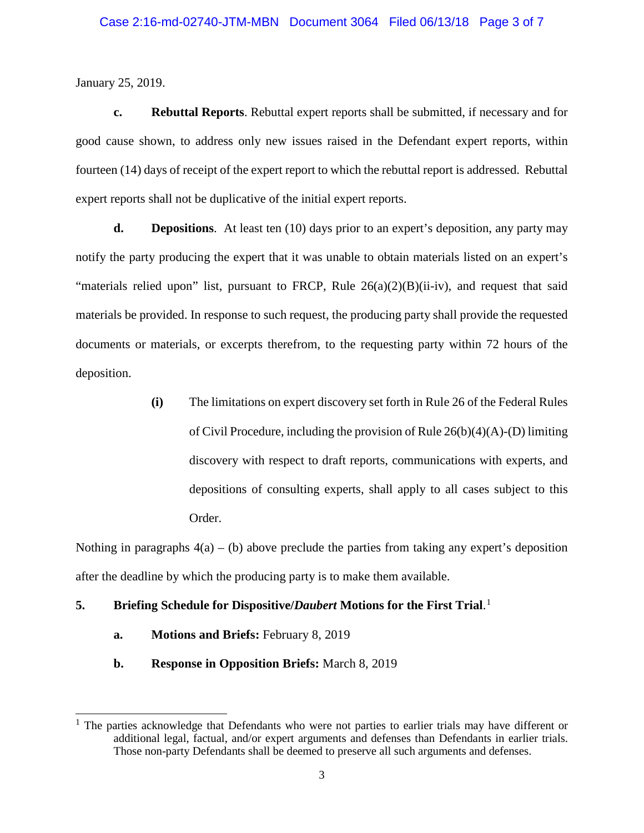January 25, 2019.

**c. Rebuttal Reports**. Rebuttal expert reports shall be submitted, if necessary and for good cause shown, to address only new issues raised in the Defendant expert reports, within fourteen (14) days of receipt of the expert report to which the rebuttal report is addressed. Rebuttal expert reports shall not be duplicative of the initial expert reports.

**d. Depositions**. At least ten (10) days prior to an expert's deposition, any party may notify the party producing the expert that it was unable to obtain materials listed on an expert's "materials relied upon" list, pursuant to FRCP, Rule 26(a)(2)(B)(ii-iv), and request that said materials be provided. In response to such request, the producing party shall provide the requested documents or materials, or excerpts therefrom, to the requesting party within 72 hours of the deposition.

> **(i)** The limitations on expert discovery set forth in Rule 26 of the Federal Rules of Civil Procedure, including the provision of Rule 26(b)(4)(A)-(D) limiting discovery with respect to draft reports, communications with experts, and depositions of consulting experts, shall apply to all cases subject to this Order.

Nothing in paragraphs  $4(a) - (b)$  above preclude the parties from taking any expert's deposition after the deadline by which the producing party is to make them available.

# **5. Briefing Schedule for Dispositive/***Daubert* **Motions for the First Trial**. 1

- **a. Motions and Briefs:** February 8, 2019
- **b. Response in Opposition Briefs:** March 8, 2019

<sup>&</sup>lt;sup>1</sup> The parties acknowledge that Defendants who were not parties to earlier trials may have different or additional legal, factual, and/or expert arguments and defenses than Defendants in earlier trials. Those non-party Defendants shall be deemed to preserve all such arguments and defenses.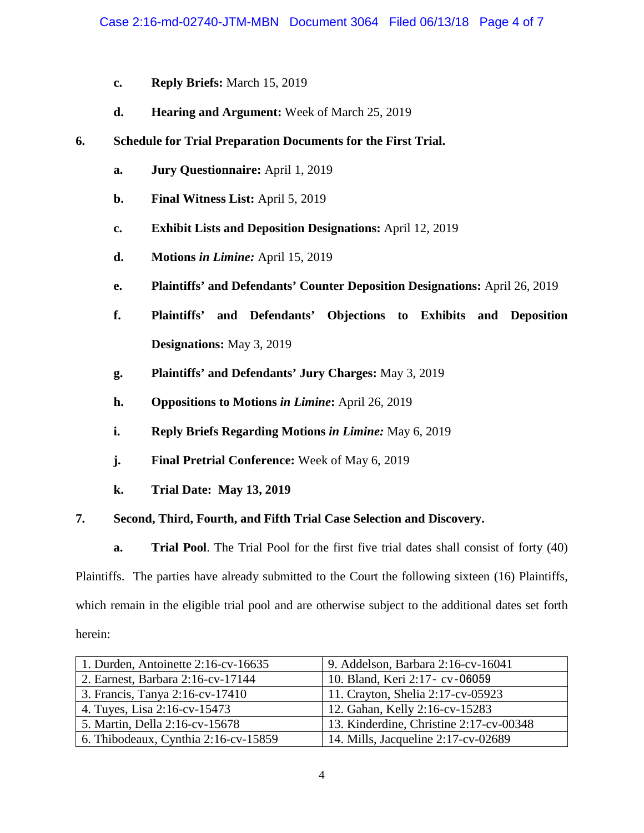- **c. Reply Briefs:** March 15, 2019
- **d. Hearing and Argument:** Week of March 25, 2019
- **6. Schedule for Trial Preparation Documents for the First Trial.**
	- **a. Jury Questionnaire:** April 1, 2019
	- **b. Final Witness List:** April 5, 2019
	- **c. Exhibit Lists and Deposition Designations:** April 12, 2019
	- **d. Motions** *in Limine:* April 15, 2019
	- **e. Plaintiffs' and Defendants' Counter Deposition Designations:** April 26, 2019
	- **f. Plaintiffs' and Defendants' Objections to Exhibits and Deposition Designations:** May 3, 2019
	- **g. Plaintiffs' and Defendants' Jury Charges:** May 3, 2019
	- **h. Oppositions to Motions** *in Limine***:** April 26, 2019
	- **i. Reply Briefs Regarding Motions** *in Limine:* **May 6, 2019**
	- **j. Final Pretrial Conference:** Week of May 6, 2019
	- **k. Trial Date: May 13, 2019**

### **7. Second, Third, Fourth, and Fifth Trial Case Selection and Discovery.**

**a. Trial Pool**. The Trial Pool for the first five trial dates shall consist of forty (40)

Plaintiffs. The parties have already submitted to the Court the following sixteen (16) Plaintiffs, which remain in the eligible trial pool and are otherwise subject to the additional dates set forth herein:

| 1. Durden, Antoinette 2:16-cv-16635  | 9. Addelson, Barbara 2:16-cv-16041      |
|--------------------------------------|-----------------------------------------|
| 2. Earnest, Barbara 2:16-cv-17144    | 10. Bland, Keri 2:17 - cv - 06059       |
| 3. Francis, Tanya 2:16-cv-17410      | 11. Crayton, Shelia 2:17-cv-05923       |
| 4. Tuyes, Lisa 2:16-cv-15473         | 12. Gahan, Kelly 2:16-cv-15283          |
| 5. Martin, Della 2:16-cv-15678       | 13. Kinderdine, Christine 2:17-cv-00348 |
| 6. Thibodeaux, Cynthia 2:16-cv-15859 | 14. Mills, Jacqueline 2:17-cv-02689     |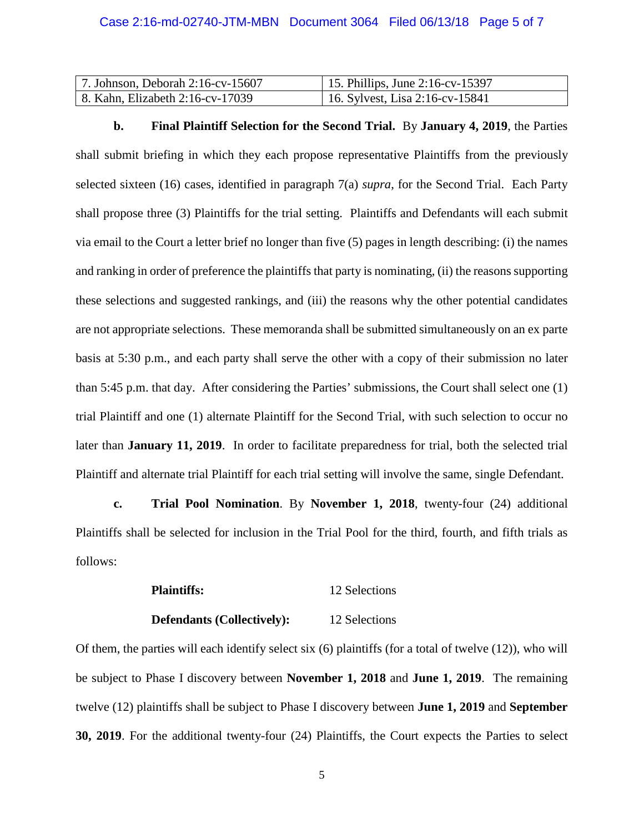| 7. Johnson, Deborah $2:16$ -cv-15607 | 15. Phillips, June 2:16-cv-15397 |
|--------------------------------------|----------------------------------|
| 8. Kahn, Elizabeth 2:16-cv-17039     | 116. Sylvest, Lisa 2:16-cv-15841 |

**b. Final Plaintiff Selection for the Second Trial.** By **January 4, 2019**, the Parties

shall submit briefing in which they each propose representative Plaintiffs from the previously selected sixteen (16) cases, identified in paragraph 7(a) *supra*, for the Second Trial. Each Party shall propose three (3) Plaintiffs for the trial setting. Plaintiffs and Defendants will each submit via email to the Court a letter brief no longer than five (5) pages in length describing: (i) the names and ranking in order of preference the plaintiffs that party is nominating, (ii) the reasons supporting these selections and suggested rankings, and (iii) the reasons why the other potential candidates are not appropriate selections. These memoranda shall be submitted simultaneously on an ex parte basis at 5:30 p.m., and each party shall serve the other with a copy of their submission no later than 5:45 p.m. that day. After considering the Parties' submissions, the Court shall select one (1) trial Plaintiff and one (1) alternate Plaintiff for the Second Trial, with such selection to occur no later than **January 11, 2019**. In order to facilitate preparedness for trial, both the selected trial Plaintiff and alternate trial Plaintiff for each trial setting will involve the same, single Defendant.

**c. Trial Pool Nomination**. By **November 1, 2018**, twenty-four (24) additional Plaintiffs shall be selected for inclusion in the Trial Pool for the third, fourth, and fifth trials as follows:

| 12 Selections |
|---------------|
|               |

**Defendants (Collectively):** 12 Selections

Of them, the parties will each identify select six (6) plaintiffs (for a total of twelve (12)), who will be subject to Phase I discovery between **November 1, 2018** and **June 1, 2019**. The remaining twelve (12) plaintiffs shall be subject to Phase I discovery between **June 1, 2019** and **September 30, 2019**. For the additional twenty-four (24) Plaintiffs, the Court expects the Parties to select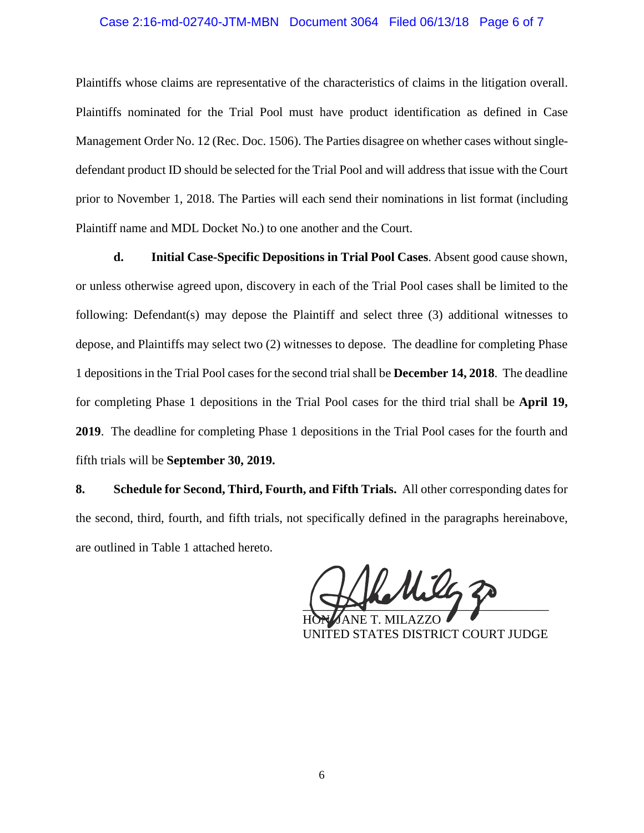#### Case 2:16-md-02740-JTM-MBN Document 3064 Filed 06/13/18 Page 6 of 7

Plaintiffs whose claims are representative of the characteristics of claims in the litigation overall. Plaintiffs nominated for the Trial Pool must have product identification as defined in Case Management Order No. 12 (Rec. Doc. 1506). The Parties disagree on whether cases without singledefendant product ID should be selected for the Trial Pool and will address that issue with the Court prior to November 1, 2018. The Parties will each send their nominations in list format (including Plaintiff name and MDL Docket No.) to one another and the Court.

**d. Initial Case-Specific Depositions in Trial Pool Cases**. Absent good cause shown, or unless otherwise agreed upon, discovery in each of the Trial Pool cases shall be limited to the following: Defendant(s) may depose the Plaintiff and select three (3) additional witnesses to depose, and Plaintiffs may select two (2) witnesses to depose. The deadline for completing Phase 1 depositions in the Trial Pool cases for the second trial shall be **December 14, 2018**. The deadline for completing Phase 1 depositions in the Trial Pool cases for the third trial shall be **April 19, 2019**. The deadline for completing Phase 1 depositions in the Trial Pool cases for the fourth and fifth trials will be **September 30, 2019.**

**8. Schedule for Second, Third, Fourth, and Fifth Trials.** All other corresponding dates for the second, third, fourth, and fifth trials, not specifically defined in the paragraphs hereinabove, are outlined in Table 1 attached hereto.

Mila  $\sqrt{2}$ 

HON. JANE T. MILAZZO UNITED STATES DISTRICT COURT JUDGE